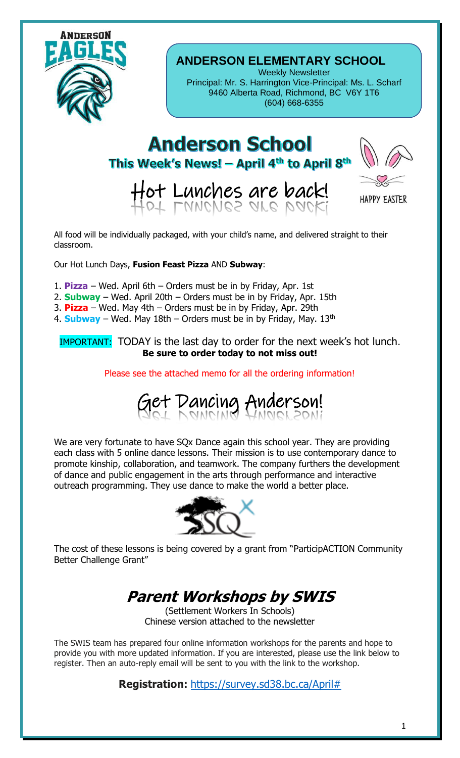

### **ANDERSON ELEMENTARY SCHOOL**

Weekly Newsletter Principal: Mr. S. Harrington Vice-Principal: Ms. L. Scharf 9460 Alberta Road, Richmond, BC V6Y 1T6 (604) 668-6355

## **Anderson School** This Week's News! - April 4th to April 8th





**HAPPY EASTER** 

All food will be individually packaged, with your child's name, and delivered straight to their classroom.

Our Hot Lunch Days, **Fusion Feast Pizza** AND **Subway**:

- 1. **Pizza** Wed. April 6th Orders must be in by Friday, Apr. 1st
- 2. **Subway** Wed. April 20th Orders must be in by Friday, Apr. 15th
- 3. **Pizza** Wed. May 4th Orders must be in by Friday, Apr. 29th
- 4. **Subway** Wed. May 18th Orders must be in by Friday, May. 13th

IMPORTANT: TODAY is the last day to order for the next week's hot lunch. **Be sure to order today to not miss out!**

Please see the attached memo for all the ordering information!



We are very fortunate to have SQx Dance again this school year. They are providing each class with 5 online dance lessons. Their mission is to use contemporary dance to promote kinship, collaboration, and teamwork. The company furthers the development of dance and public engagement in the arts through performance and interactive outreach programming. They use dance to make the world a better place.



The cost of these lessons is being covered by a grant from "ParticipACTION Community Better Challenge Grant"

**Parent Workshops by SWIS**

(Settlement Workers In Schools) Chinese version attached to the newsletter

The SWIS team has prepared four online information workshops for the parents and hope to provide you with more updated information. If you are interested, please use the link below to register. Then an auto-reply email will be sent to you with the link to the workshop.

**Registration:** [https://survey.sd38.bc.ca/April#](https://survey.sd38.bc.ca/April)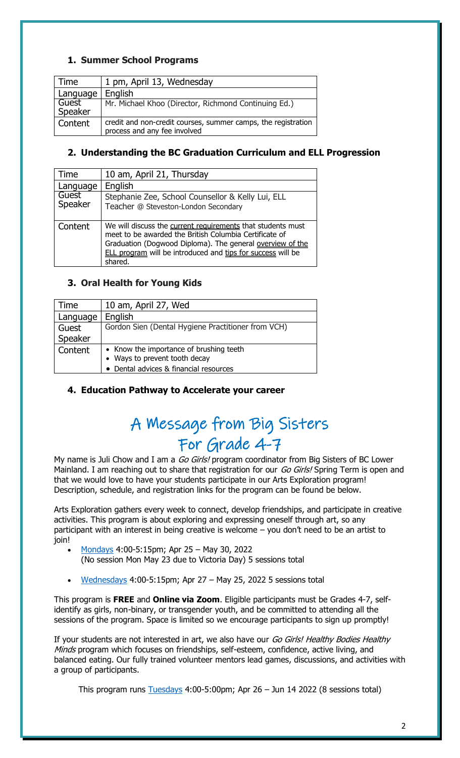#### **1. Summer School Programs**

| Time             | 1 pm, April 13, Wednesday                                                                     |
|------------------|-----------------------------------------------------------------------------------------------|
| Language         | English                                                                                       |
| Guest<br>Speaker | Mr. Michael Khoo (Director, Richmond Continuing Ed.)                                          |
| Content          | credit and non-credit courses, summer camps, the registration<br>process and any fee involved |

#### **2. Understanding the BC Graduation Curriculum and ELL Progression**

| Time             | 10 am, April 21, Thursday                                                                                             |
|------------------|-----------------------------------------------------------------------------------------------------------------------|
| Language         | English                                                                                                               |
| Guest<br>Speaker | Stephanie Zee, School Counsellor & Kelly Lui, ELL                                                                     |
|                  | Teacher @ Steveston-London Secondary                                                                                  |
|                  |                                                                                                                       |
| Content          | We will discuss the current requirements that students must<br>meet to be awarded the British Columbia Certificate of |
|                  | Graduation (Dogwood Diploma). The general overview of the                                                             |
|                  | ELL program will be introduced and tips for success will be                                                           |
|                  | shared.                                                                                                               |

#### **3. Oral Health for Young Kids**

| Time     | 10 am, April 27, Wed                                                     |
|----------|--------------------------------------------------------------------------|
| Language | English                                                                  |
| Guest    | Gordon Sien (Dental Hygiene Practitioner from VCH)                       |
| Speaker  |                                                                          |
| Content  | • Know the importance of brushing teeth<br>• Ways to prevent tooth decay |
|          | • Dental advices & financial resources                                   |

#### **4. Education Pathway to Accelerate your career**

# A Message from Big Sisters For Grade 4-7

My name is Juli Chow and I am a Go Girls! program coordinator from Big Sisters of BC Lower Mainland. I am reaching out to share that registration for our Go Girls! Spring Term is open and that we would love to have your students participate in our Arts Exploration program! Description, schedule, and registration links for the program can be found be below.

Arts Exploration gathers every week to connect, develop friendships, and participate in creative activities. This program is about exploring and expressing oneself through art, so any participant with an interest in being creative is welcome – you don't need to be an artist to join!

- [Mondays](https://forms.office.com/Pages/DesignPage.aspx?lang=en-US&origin=OfficeDotCom&route=Start#FormId=QlI8Ii-w_EOpc5WFCKu5EhYmhrbiPUJLh5HBRhLb49lUOFBIS0hIUjdHMkIwODFSNlc4TjBVTDEzRi4u) 4:00-5:15pm; Apr 25 May 30, 2022 (No session Mon May 23 due to Victoria Day) 5 sessions total
- [Wednesdays](https://forms.office.com/Pages/DesignPage.aspx#FormId=QlI8Ii-w_EOpc5WFCKu5EhYmhrbiPUJLh5HBRhLb49lURDBUS0dSSVhTRzFBRzhYSEoyU09MUDY3TS4u&Token=7efff9dd16e94effa54b8fe5d0228013) 4:00-5:15pm; Apr 27 May 25, 2022 5 sessions total

This program is **FREE** and **Online via Zoom**. Eligible participants must be Grades 4-7, selfidentify as girls, non-binary, or transgender youth, and be committed to attending all the sessions of the program. Space is limited so we encourage participants to sign up promptly!

If your students are not interested in art, we also have our Go Girls! Healthy Bodies Healthy Minds program which focuses on friendships, self-esteem, confidence, active living, and balanced eating. Our fully trained volunteer mentors lead games, discussions, and activities with a group of participants.

This program runs  $Tuesdays$  4:00-5:00pm; Apr 26 – Jun 14 2022 (8 sessions total)